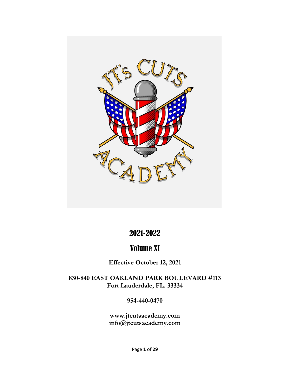

### 2021-2022

### Volume XI

**Effective October 12, 2021**

**830-840 EAST OAKLAND PARK BOULEVARD #113 Fort Lauderdale, FL. 33334**

**954-440-0470**

**[www.jtcutsacademy.com](http://www.jtcutsacademy.com/) info@jtcutsacademy.com**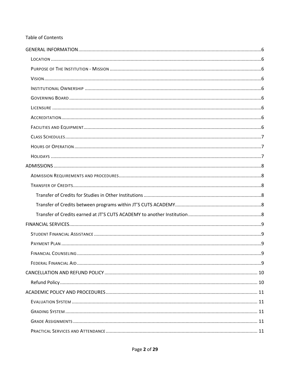#### **Table of Contents**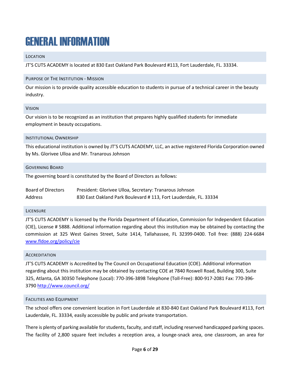# <span id="page-5-0"></span>GENERAL INFORMATION

#### <span id="page-5-1"></span>LOCATION

JT'S CUTS ACADEMY is located at 830 East Oakland Park Boulevard #113, Fort Lauderdale, FL. 33334.

#### <span id="page-5-2"></span>PURPOSE OF THE INSTITUTION - MISSION

Our mission is to provide quality accessible education to students in pursue of a technical career in the beauty industry.

#### <span id="page-5-3"></span>VISION

Our vision is to be recognized as an institution that prepares highly qualified students for immediate employment in beauty occupations.

#### <span id="page-5-4"></span>INSTITUTIONAL OWNERSHIP

This educational institution is owned by JT'S CUTS ACADEMY, LLC, an active registered Florida Corporation owned by Ms. Glorivee Ulloa and Mr. Tranarous Johnson

#### <span id="page-5-5"></span>GOVERNING BOARD

The governing board is constituted by the Board of Directors as follows:

| Board of Directors | President: Glorivee Ulloa, Secretary: Tranarous Johnson           |
|--------------------|-------------------------------------------------------------------|
| Address            | 830 East Oakland Park Boulevard # 113, Fort Lauderdale, FL. 33334 |

#### <span id="page-5-6"></span>**LICENSURE**

JT'S CUTS ACADEMY is licensed by the Florida Department of Education, Commission for Independent Education (CIE), License # 5888. Additional information regarding about this institution may be obtained by contacting the commission at 325 West Gaines Street, Suite 1414, Tallahassee, FL 32399-0400. Toll free: (888) 224-6684 [www.fldoe.org/policy/cie](http://www.fldoe.org/policy/cie)

#### <span id="page-5-7"></span>**ACCREDITATION**

JT'S CUTS ACADEMY is Accredited by The Council on Occupational Education (COE). Additional information regarding about this institution may be obtained by contacting COE at 7840 Roswell Road, Building 300, Suite 325, Atlanta, GA 30350 Telephone (Local): 770-396-3898 Telephone (Toll-Free): 800-917-2081 Fax: 770-396- 3790<http://www.council.org/>

#### <span id="page-5-8"></span>FACILITIES AND EQUIPMENT

The school offers one convenient location in Fort Lauderdale at 830-840 East Oakland Park Boulevard #113, Fort Lauderdale, FL. 33334, easily accessible by public and private transportation.

There is plenty of parking available for students, faculty, and staff, including reserved handicapped parking spaces. The facility of 2,800 square feet includes a reception area, a lounge-snack area, one classroom, an area for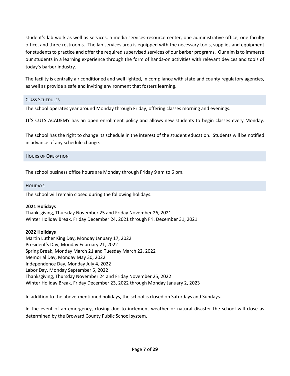student's lab work as well as services, a media services-resource center, one administrative office, one faculty office, and three restrooms. The lab services area is equipped with the necessary tools, supplies and equipment for students to practice and offer the required supervised services of our barber programs. Our aim is to immerse our students in a learning experience through the form of hands-on activities with relevant devices and tools of today's barber industry.

The facility is centrally air conditioned and well lighted, in compliance with state and county regulatory agencies, as well as provide a safe and inviting environment that fosters learning.

#### <span id="page-6-0"></span>CLASS SCHEDULES

The school operates year around Monday through Friday, offering classes morning and evenings.

JT'S CUTS ACADEMY has an open enrollment policy and allows new students to begin classes every Monday.

The school has the right to change its schedule in the interest of the student education. Students will be notified in advance of any schedule change.

#### <span id="page-6-1"></span>HOURS OF OPERATION

The school business office hours are Monday through Friday 9 am to 6 pm.

#### <span id="page-6-2"></span>HOLIDAYS

The school will remain closed during the following holidays:

#### **2021 Holidays**

Thanksgiving, Thursday November 25 and Friday November 26, 2021 Winter Holiday Break, Friday December 24, 2021 through Fri. December 31, 2021

#### **2022 Holidays**

Martin Luther King Day, Monday January 17, 2022 President's Day, Monday February 21, 2022 Spring Break, Monday March 21 and Tuesday March 22, 2022 Memorial Day, Monday May 30, 2022 Independence Day, Monday July 4, 2022 Labor Day, Monday September 5, 2022 Thanksgiving, Thursday November 24 and Friday November 25, 2022 Winter Holiday Break, Friday December 23, 2022 through Monday January 2, 2023

In addition to the above-mentioned holidays, the school is closed on Saturdays and Sundays.

In the event of an emergency, closing due to inclement weather or natural disaster the school will close as determined by the Broward County Public School system.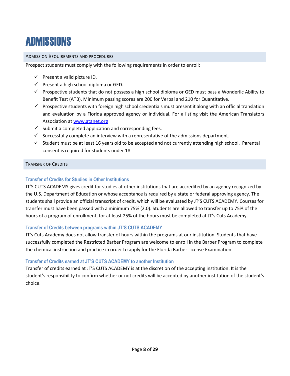### <span id="page-7-0"></span>**ADMISSIONS**

#### <span id="page-7-1"></span>ADMISSION REQUIREMENTS AND PROCEDURES

Prospect students must comply with the following requirements in order to enroll:

- $\checkmark$  Present a valid picture ID.
- $\checkmark$  Present a high school diploma or GED.
- $\checkmark$  Prospective students that do not possess a high school diploma or GED must pass a Wonderlic Ability to Benefit Test (ATB). Minimum passing scores are 200 for Verbal and 210 for Quantitative.
- $\checkmark$  Prospective students with foreign high school credentials must present it along with an official translation and evaluation by a Florida approved agency or individual. For a listing visit the American Translators Association at [www.atanet.org](http://www.atanet.org/)
- $\checkmark$  Submit a completed application and corresponding fees.
- $\checkmark$  Successfully complete an interview with a representative of the admissions department.
- $\checkmark$  Student must be at least 16 years old to be accepted and not currently attending high school. Parental consent is required for students under 18.

#### <span id="page-7-2"></span>TRANSFER OF CREDITS

#### <span id="page-7-3"></span>**Transfer of Credits for Studies in Other Institutions**

JT'S CUTS ACADEMY gives credit for studies at other institutions that are accredited by an agency recognized by the U.S. Department of Education or whose acceptance is required by a state or federal approving agency. The students shall provide an official transcript of credit, which will be evaluated by JT'S CUTS ACADEMY. Courses for transfer must have been passed with a minimum 75% (2.0). Students are allowed to transfer up to 75% of the hours of a program of enrollment, for at least 25% of the hours must be completed at JT's Cuts Academy.

#### <span id="page-7-4"></span>**Transfer of Credits between programs within JT'S CUTS ACADEMY**

JT's Cuts Academy does not allow transfer of hours within the programs at our institution. Students that have successfully completed the Restricted Barber Program are welcome to enroll in the Barber Program to complete the chemical instruction and practice in order to apply for the Florida Barber License Examination.

#### <span id="page-7-5"></span>**Transfer of Credits earned at JT'S CUTS ACADEMY to another Institution**

Transfer of credits earned at JT'S CUTS ACADEMY is at the discretion of the accepting institution. It is the student's responsibility to confirm whether or not credits will be accepted by another institution of the student's choice.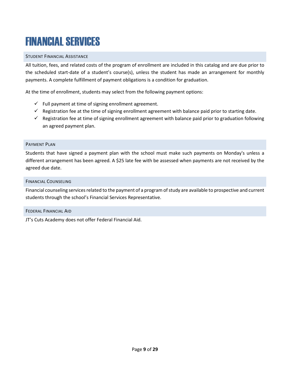# <span id="page-8-0"></span>FINANCIAL SERVICES

#### <span id="page-8-1"></span>STUDENT FINANCIAL ASSISTANCE

All tuition, fees, and related costs of the program of enrollment are included in this catalog and are due prior to the scheduled start-date of a student's course(s), unless the student has made an arrangement for monthly payments. A complete fulfillment of payment obligations is a condition for graduation.

At the time of enrollment, students may select from the following payment options:

- $\checkmark$  Full payment at time of signing enrollment agreement.
- $\checkmark$  Registration fee at the time of signing enrollment agreement with balance paid prior to starting date.
- $\checkmark$  Registration fee at time of signing enrollment agreement with balance paid prior to graduation following an agreed payment plan.

#### <span id="page-8-2"></span>PAYMENT PLAN

Students that have signed a payment plan with the school must make such payments on Monday's unless a different arrangement has been agreed. A \$25 late fee with be assessed when payments are not received by the agreed due date.

#### <span id="page-8-3"></span>FINANCIAL COUNSELING

Financial counseling services related to the payment of a program of study are available to prospective and current students through the school's Financial Services Representative.

#### <span id="page-8-4"></span>FEDERAL FINANCIAL AID

JT's Cuts Academy does not offer Federal Financial Aid.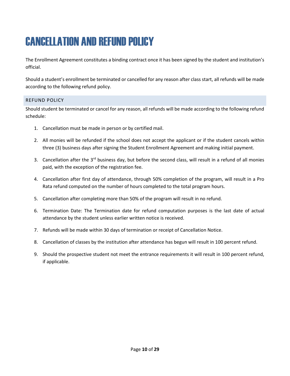# <span id="page-9-0"></span>CANCELLATION AND REFUND POLICY

The Enrollment Agreement constitutes a binding contract once it has been signed by the student and institution's official.

Should a student's enrollment be terminated or cancelled for any reason after class start, all refunds will be made according to the following refund policy.

#### <span id="page-9-1"></span>REFUND POLICY

Should student be terminated or cancel for any reason, all refunds will be made according to the following refund schedule:

- 1. Cancellation must be made in person or by certified mail.
- 2. All monies will be refunded if the school does not accept the applicant or if the student cancels within three (3) business days after signing the Student Enrollment Agreement and making initial payment.
- 3. Cancellation after the 3<sup>rd</sup> business day, but before the second class, will result in a refund of all monies paid, with the exception of the registration fee.
- 4. Cancellation after first day of attendance, through 50% completion of the program, will result in a Pro Rata refund computed on the number of hours completed to the total program hours.
- 5. Cancellation after completing more than 50% of the program will result in no refund.
- 6. Termination Date: The Termination date for refund computation purposes is the last date of actual attendance by the student unless earlier written notice is received.
- 7. Refunds will be made within 30 days of termination or receipt of Cancellation Notice.
- 8. Cancellation of classes by the institution after attendance has begun will result in 100 percent refund.
- 9. Should the prospective student not meet the entrance requirements it will result in 100 percent refund, if applicable.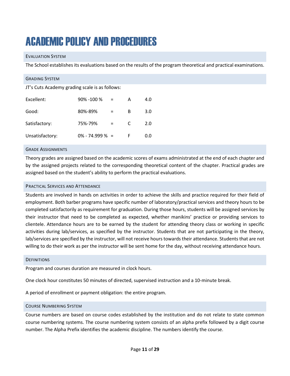# <span id="page-10-0"></span>ACADEMIC POLICY AND PROCEDURES

#### <span id="page-10-1"></span>EVALUATION SYSTEM

The School establishes its evaluations based on the results of the program theoretical and practical examinations.

<span id="page-10-2"></span>

#### <span id="page-10-3"></span>GRADE ASSIGNMENTS

Theory grades are assigned based on the academic scores of exams administrated at the end of each chapter and by the assigned projects related to the corresponding theoretical content of the chapter. Practical grades are assigned based on the student's ability to perform the practical evaluations.

#### <span id="page-10-4"></span>PRACTICAL SERVICES AND ATTENDANCE

Students are involved in hands on activities in order to achieve the skills and practice required for their field of employment. Both barber programs have specific number of laboratory/practical services and theory hours to be completed satisfactorily as requirement for graduation. During those hours, students will be assigned services by their instructor that need to be completed as expected, whether manikins' practice or providing services to clientele. Attendance hours are to be earned by the student for attending theory class or working in specific activities during lab/services, as specified by the instructor. Students that are not participating in the theory, lab/services are specified by the instructor, will not receive hours towards their attendance. Students that are not willing to do their work as per the instructor will be sent home for the day, without receiving attendance hours.

#### <span id="page-10-5"></span>**DEFINITIONS**

Program and courses duration are measured in clock hours.

One clock hour constitutes 50 minutes of directed, supervised instruction and a 10-minute break.

A period of enrollment or payment obligation: the entire program.

#### <span id="page-10-6"></span>COURSE NUMBERING SYSTEM

Course numbers are based on course codes established by the institution and do not relate to state common course numbering systems. The course numbering system consists of an alpha prefix followed by a digit course number. The Alpha Prefix identifies the academic discipline. The numbers identify the course.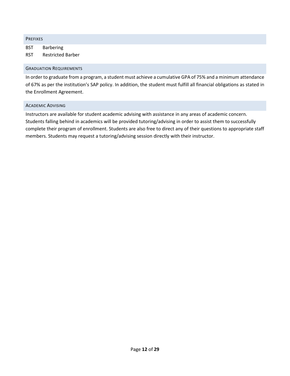<span id="page-11-0"></span>

| <b>PREFIXES</b> |                                                                                                              |
|-----------------|--------------------------------------------------------------------------------------------------------------|
| BST             | <b>Barbering</b>                                                                                             |
| <b>RST</b>      | <b>Restricted Barber</b>                                                                                     |
|                 | <b>GRADUATION REQUIREMENTS</b>                                                                               |
|                 | In order to graduate from a program, a student must ashieve a sumulative CDA of 75% and a minimum attendance |

<span id="page-11-1"></span>In order to graduate from a program, a student must achieve a cumulative GPA of 75% and a minimum attendance of 67% as per the institution's SAP policy. In addition, the student must fulfill all financial obligations as stated in the Enrollment Agreement.

#### <span id="page-11-2"></span>ACADEMIC ADVISING

Instructors are available for student academic advising with assistance in any areas of academic concern. Students falling behind in academics will be provided tutoring/advising in order to assist them to successfully complete their program of enrollment. Students are also free to direct any of their questions to appropriate staff members. Students may request a tutoring/advising session directly with their instructor.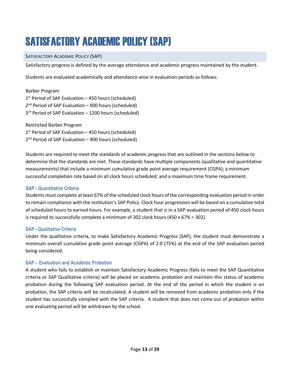# <span id="page-12-0"></span>SATISFACTORY ACADEMIC POLICY (SAP)

#### <span id="page-12-1"></span>SATISFACTORY ACADEMIC POLICY (SAP)

Satisfactory progress is defined by the average attendance and academic progress maintained by the student.

Students are evaluated academically and attendance-wise in evaluation periods as follows:

| Barber Program                                                   |
|------------------------------------------------------------------|
| $1st$ Period of SAP Evaluation – 450 hours (scheduled)           |
| 2 <sup>nd</sup> Period of SAP Evaluation - 900 hours (scheduled) |
| 3rd Period of SAP Evaluation - 1200 hours (scheduled)            |
|                                                                  |

Restricted Barber Program  $1<sup>st</sup>$  Period of SAP Evaluation – 450 hours (scheduled) 2<sup>nd</sup> Period of SAP Evaluation – 900 hours (scheduled)

Students are required to meet the standards of academic progress that are outlined in the sections below to determine that the standards are met. These standards have multiple components (qualitative and quantitative measurements) that include a minimum cumulative grade point average requirement (CGPA); a minimum successful completion rate based on all clock hours scheduled; and a maximum time frame requirement.

#### <span id="page-12-2"></span>**SAP - Quantitative Criteria**

Students must complete at least 67% of the scheduled clock hours of the corresponding evaluation period in order to remain compliance with the institution's SAP Policy. Clock hour progression will be based on a cumulative total of scheduled hours to earned hours. For example, a student that is in a SAP evaluation period of 450 clock hours is required to successfully complete a minimum of 302 clock hours (450 x 67% = 302).

#### <span id="page-12-3"></span>**SAP - Qualitative Criteria**

Under the qualitative criteria, to make Satisfactory Academic Progress (SAP), the student must demonstrate a minimum overall cumulative grade point average (CGPA) of 2.0 (75%) at the end of the SAP evaluation period being considered.

#### <span id="page-12-4"></span>**SAP – Evaluation and Academic Probation**

A student who fails to establish or maintain Satisfactory Academic Progress (fails to meet the SAP Quantitative criteria or SAP Qualitative criteria) will be placed on academic probation and maintain this status of academic probation during the following SAP evaluation period. At the end of the period in which the student is on probation, the SAP criteria will be recalculated. A student will be removed from academic probation only if the student has successfully complied with the SAP criteria. A student that does not come out of probation within one evaluating period will be withdrawn by the school.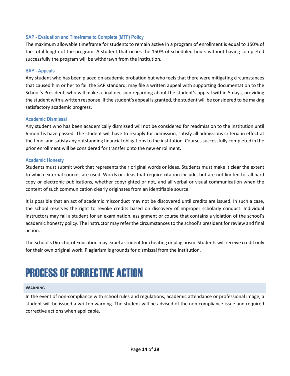#### <span id="page-13-0"></span>**SAP - Evaluation and Timeframe to Complete (MTF) Policy**

The maximum allowable timeframe for students to remain active in a program of enrollment is equal to 150% of the total length of the program. A student that riches the 150% of scheduled hours without having completed successfully the program will be withdrawn from the institution.

#### <span id="page-13-1"></span>**SAP - Appeals**

Any student who has been placed on academic probation but who feels that there were mitigating circumstances that caused him or her to fail the SAP standard, may file a written appeal with supporting documentation to the School's President, who will make a final decision regarding about the student's appeal within 5 days, providing the student with a written response. If the student's appeal is granted, the student will be considered to be making satisfactory academic progress.

#### <span id="page-13-2"></span>**Academic Dismissal**

Any student who has been academically dismissed will not be considered for readmission to the institution until 6 months have passed. The student will have to reapply for admission, satisfy all admissions criteria in effect at the time, and satisfy any outstanding financial obligations to the institution. Courses successfully completed in the prior enrollment will be considered for transfer onto the new enrollment.

#### <span id="page-13-3"></span>**Academic Honesty**

Students must submit work that represents their original words or ideas. Students must make it clear the extent to which external sources are used. Words or ideas that require citation include, but are not limited to, all hard copy or electronic publications, whether copyrighted or not, and all verbal or visual communication when the content of such communication clearly originates from an identifiable source.

It is possible that an act of academic misconduct may not be discovered until credits are issued. In such a case, the school reserves the right to revoke credits based on discovery of improper scholarly conduct. Individual instructors may fail a student for an examination, assignment or course that contains a violation of the school's academic honesty policy. The instructor may refer the circumstances to the school's president for review and final action.

The School's Director of Education may expel a student for cheating or plagiarism. Students will receive credit only for their own original work. Plagiarism is grounds for dismissal from the institution.

### <span id="page-13-4"></span>PROCESS OF CORRECTIVE ACTION

#### <span id="page-13-5"></span>WARNING

In the event of non-compliance with school rules and regulations, academic attendance or professional image, a student will be issued a written warning. The student will be advised of the non-compliance issue and required corrective actions when applicable.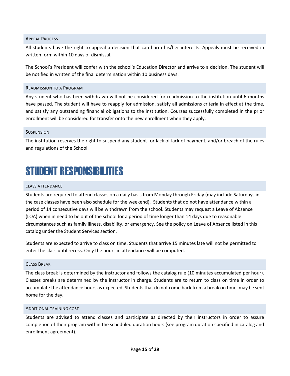#### <span id="page-14-0"></span>APPEAL PROCESS

All students have the right to appeal a decision that can harm his/her interests. Appeals must be received in written form within 10 days of dismissal.

The School's President will confer with the school's Education Director and arrive to a decision. The student will be notified in written of the final determination within 10 business days.

#### <span id="page-14-1"></span>READMISSION TO A PROGRAM

Any student who has been withdrawn will not be considered for readmission to the institution until 6 months have passed. The student will have to reapply for admission, satisfy all admissions criteria in effect at the time, and satisfy any outstanding financial obligations to the institution. Courses successfully completed in the prior enrollment will be considered for transfer onto the new enrollment when they apply.

#### <span id="page-14-2"></span>**SUSPENSION**

The institution reserves the right to suspend any student for lack of lack of payment, and/or breach of the rules and regulations of the School.

## <span id="page-14-3"></span>STUDENT RESPONSIBILITIES

#### <span id="page-14-4"></span>CLASS ATTENDANCE

Students are required to attend classes on a daily basis from Monday through Friday (may include Saturdays in the case classes have been also schedule for the weekend). Students that do not have attendance within a period of 14 consecutive days will be withdrawn from the school. Students may request a Leave of Absence (LOA) when in need to be out of the school for a period of time longer than 14 days due to reasonable circumstances such as family illness, disability, or emergency. See the policy on Leave of Absence listed in this catalog under the Student Services section.

Students are expected to arrive to class on time. Students that arrive 15 minutes late will not be permitted to enter the class until recess. Only the hours in attendance will be computed.

#### <span id="page-14-5"></span>CLASS BREAK

The class break is determined by the instructor and follows the catalog rule (10 minutes accumulated per hour). Classes breaks are determined by the instructor in charge. Students are to return to class on time in order to accumulate the attendance hours as expected. Students that do not come back from a break on time, may be sent home for the day.

#### <span id="page-14-6"></span>ADDITIONAL TRAINING COST

Students are advised to attend classes and participate as directed by their instructors in order to assure completion of their program within the scheduled duration hours (see program duration specified in catalog and enrollment agreement).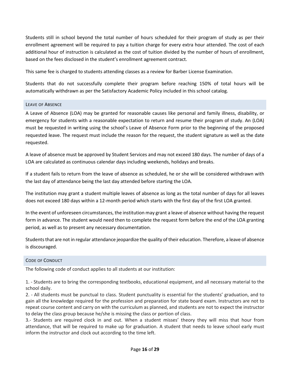Students still in school beyond the total number of hours scheduled for their program of study as per their enrollment agreement will be required to pay a tuition charge for every extra hour attended. The cost of each additional hour of instruction is calculated as the cost of tuition divided by the number of hours of enrollment, based on the fees disclosed in the student's enrollment agreement contract.

This same fee is charged to students attending classes as a review for Barber License Examination.

Students that do not successfully complete their program before reaching 150% of total hours will be automatically withdrawn as per the Satisfactory Academic Policy included in this school catalog.

#### <span id="page-15-0"></span>LEAVE OF ABSENCE

A Leave of Absence (LOA) may be granted for reasonable causes like personal and family illness, disability, or emergency for students with a reasonable expectation to return and resume their program of study. An (LOA) must be requested in writing using the school's Leave of Absence Form prior to the beginning of the proposed requested leave. The request must include the reason for the request, the student signature as well as the date requested.

A leave of absence must be approved by Student Services and may not exceed 180 days. The number of days of a LOA are calculated as continuous calendar days including weekends, holidays and breaks.

If a student fails to return from the leave of absence as scheduled, he or she will be considered withdrawn with the last day of attendance being the last day attended before starting the LOA.

The institution may grant a student multiple leaves of absence as long as the total number of days for all leaves does not exceed 180 days within a 12-month period which starts with the first day of the first LOA granted.

In the event of unforeseen circumstances, the institution may grant a leave of absence without having the request form in advance. The student would need then to complete the request form before the end of the LOA granting period, as well as to present any necessary documentation.

Students that are not in regular attendance jeopardize the quality of their education. Therefore, a leave of absence is discouraged.

#### <span id="page-15-1"></span>CODE OF CONDUCT

The following code of conduct applies to all students at our institution:

1. - Students are to bring the corresponding textbooks, educational equipment, and all necessary material to the school daily.

2. - All students must be punctual to class. Student punctuality is essential for the students' graduation, and to gain all the knowledge required for the profession and preparation for state board exam. Instructors are not to repeat course content and carry on with the curriculum as planned, and students are not to expect the instructor to delay the class group because he/she is missing the class or portion of class.

3.- Students are required clock in and out. When a student misses' theory they will miss that hour from attendance, that will be required to make up for graduation. A student that needs to leave school early must inform the instructor and clock out according to the time left.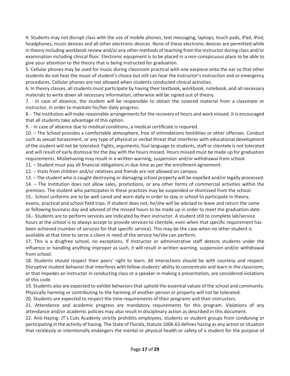4. Students may not disrupt class with the use of mobile phones, text messaging, laptops, touch pads, iPad, iPod, headphones, music devices and all other electronic devices. None of these electronic devices are permitted while in theory including workbook review and/or any other methods of teaching from the instructor during class and/or examination including clinical floor. Electronic equipment is to be placed in a non-conspicuous place to be able to give your attention to the theory that is being instructed for graduation.

5. Cellular phones may be used for music during classroom practical with one earpiece onto the ear so that other students do not hear the music of student's choice but still can hear the instructor's instruction and or emergency procedures. Cellular phones are not allowed when students conducted clinical activities.

6. In theory classes, all students must participate by having their textbook, workbook, notebook, and all necessary materials to write down all necessary information, otherwise will be signed out of theory.

7. - In case of absence, the student will be responsible to obtain the covered material from a classmate or instructor, in order to maintain his/her daily progress.

8. - The institution will make reasonable arrangements for the recovery of hours and work missed. It is encouraged that all students take advantage of this option.

9. - In case of absence due to medical conditions, a medical certificate is required.

10. – The School provides a comfortable atmosphere, free of intimidations hostilities or other offenses. Conduct such as sexual harassment, or any type of physical or verbal threat that interferes with educational development of the student will not be tolerated. Fights, arguments, foul language to students, staff or clientele is not tolerated and will result of early dismissal for the day with the hours missed. Hours missed must be made up for graduation requirements. Misbehaving may result in a written warning, suspension and/or withdrawal from school.

11. – Student must pay all financial obligations in due time as per the enrollment agreement.

12. – Visits from children and/or relatives and friends are not allowed on campus.

13. – The student who is caught destroying or damaging school property will be expelled and/or legally processed. 14. – The Institution does not allow sales, promotions, or any other forms of commercial activities within the premises. The student who participates in these practices may be suspended or dismissed from the school.

15.- School uniforms are to be well cared and worn daily in order to stay in school to participate in theory, exams, practical and school field trips. If student does not, he/she will be advised to leave and return the same or following business day and advised of the missed hours to be made up in order to meet the graduation date.

16.- Students are to perform services are indicated by their instructor. A student still to complete lab/service hours at the school is to always accept to provide services to clientele, even when that specific requirement has been achieved (number of services for that specific service). This may be the case when no other student is available at that time to serve a client in need of the service he/she can perform.

17. This is a drugfree school, no exceptions. If Instructor or administrative staff detects students under the influence or handling anything improper as such, it will result in written warning, suspension and/or withdrawal from school.

18. Students should respect their peers' right to learn. All interactions should be with courtesy and respect. Disruptive student behavior that interferes with fellow students' ability to concentrate and learn in the classroom, or that impedes an instructor in conducting class or a speaker in making a presentation, are considered violations of this code.

19. Students also are expected to exhibit behaviors that uphold the essential values of the school and community. Physically harming or contributing to the harming of another person or property will not be tolerated.

20. Students are expected to respect the time requirements of their programs and their instructors.

21. Attendance and academic progress are mandatory requirements for this program. Violations of any attendance and/or academic policies may also result in disciplinary action as described in this document.

22. Anti-Hazing: JT's Cuts Academy strictly prohibits employees, students or student groups from condoning or participating in the activity of hazing. The State of Florida, Statute 1006.63 defines hazing as any action or situation that recklessly or intentionally endangers the mental or physical health or safety of a student for the purpose of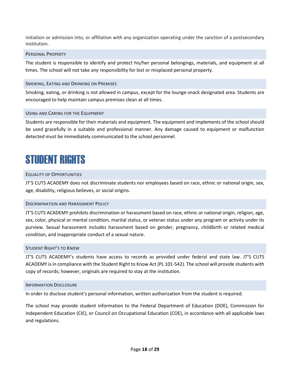initiation or admission into, or affiliation with any organization operating under the sanction of a postsecondary institution.

#### <span id="page-17-0"></span>PERSONAL PROPERTY

The student is responsible to identify and protect his/her personal belongings, materials, and equipment at all times. The school will not take any responsibility for lost or misplaced personal property.

#### <span id="page-17-1"></span>SMOKING, EATING AND DRINKING ON PREMISES

Smoking, eating, or drinking is not allowed in campus, except for the lounge-snack designated area. Students are encouraged to help maintain campus premises clean at all times.

#### <span id="page-17-2"></span>USING AND CARING FOR THE EQUIPMENT

Students are responsible for their materials and equipment. The equipment and implements of the school should be used gracefully in a suitable and professional manner. Any damage caused to equipment or malfunction detected must be immediately communicated to the school personnel.

### <span id="page-17-3"></span>STUDENT RIGHTS

#### <span id="page-17-4"></span>EQUALITY OF OPPORTUNITIES

JT'S CUTS ACADEMY does not discriminate students nor employees based on race, ethnic or national origin, sex, age, disability, religious believes, or social origins.

#### <span id="page-17-5"></span>DISCRIMINATION AND HARASSMENT POLICY

JT'S CUTS ACADEMY prohibits discrimination or harassment based on race, ethnic or national origin, religion, age, sex, color, physical or mental condition, marital status, or veteran status under any program or activity under its purview. Sexual harassment includes harassment based on gender, pregnancy, childbirth or related medical condition, and inappropriate conduct of a sexual nature.

#### <span id="page-17-6"></span>STUDENT RIGHT'S TO KNOW

JT'S CUTS ACADEMY's students have access to records as provided under federal and state law. JT'S CUTS ACADEMY is in compliance with the Student Right to Know Act (PL 101-542). The school will provide students with copy of records; however, originals are required to stay at the institution.

#### <span id="page-17-7"></span>INFORMATION DISCLOSURE

In order to disclose student's personal information, written authorization from the student is required.

The school may provide student information to the Federal Department of Education (DOE), Commission for Independent Education (CIE), or Council on Occupational Education (COE), in accordance with all applicable laws and regulations.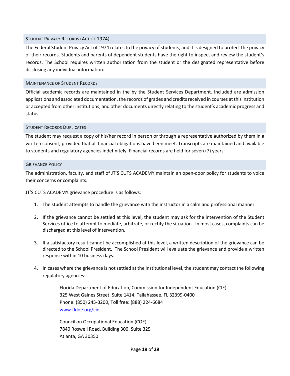#### <span id="page-18-0"></span>STUDENT PRIVACY RECORDS (ACT OF 1974)

The Federal Student Privacy Act of 1974 relates to the privacy of students, and it is designed to protect the privacy of their records. Students and parents of dependent students have the right to inspect and review the student's records. The School requires written authorization from the student or the designated representative before disclosing any individual information.

#### <span id="page-18-1"></span>MAINTENANCE OF STUDENT RECORDS

Official academic records are maintained in the by the Student Services Department. Included are admission applications and associated documentation, the records of grades and credits received in courses at this institution or accepted from other institutions; and other documents directly relating to the student's academic progress and status.

#### <span id="page-18-2"></span>STUDENT RECORDS DUPLICATES

The student may request a copy of his/her record in person or through a representative authorized by them in a written consent, provided that all financial obligations have been meet. Transcripts are maintained and available to students and regulatory agencies indefinitely. Financial records are held for seven (7) years.

#### <span id="page-18-3"></span>GRIEVANCE POLICY

The administration, faculty, and staff of JT'S CUTS ACADEMY maintain an open-door policy for students to voice their concerns or complaints.

JT'S CUTS ACADEMY grievance procedure is as follows:

- 1. The student attempts to handle the grievance with the instructor in a calm and professional manner.
- 2. If the grievance cannot be settled at this level, the student may ask for the intervention of the Student Services office to attempt to mediate, arbitrate, or rectify the situation. In most cases, complaints can be discharged at this level of intervention.
- 3. If a satisfactory result cannot be accomplished at this level, a written description of the grievance can be directed to the School President. The School President will evaluate the grievance and provide a written response within 10 business days.
- 4. In cases where the grievance is not settled at the institutional level, the student may contact the following regulatory agencies:

Florida Department of Education, Commission for Independent Education (CIE) 325 West Gaines Street, Suite 1414, Tallahassee, FL 32399-0400 Phone: (850) 245-3200, Toll free: (888) 224-6684 [www.fldoe.org/cie](http://www.fldoe.org/cie)

Council on Occupational Education (COE) 7840 Roswell Road, Building 300, Suite 325 Atlanta, GA 30350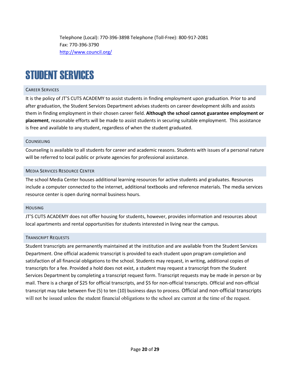Telephone (Local): 770-396-3898 Telephone (Toll-Free): 800-917-2081 Fax: 770-396-3790 <http://www.council.org/>

## <span id="page-19-0"></span>STUDENT SERVICES

#### <span id="page-19-1"></span>CAREER SERVICES

It is the policy of JT'S CUTS ACADEMY to assist students in finding employment upon graduation. Prior to and after graduation, the Student Services Department advises students on career development skills and assists them in finding employment in their chosen career field. **Although the school cannot guarantee employment or placement**, reasonable efforts will be made to assist students in securing suitable employment. This assistance is free and available to any student, regardless of when the student graduated.

#### <span id="page-19-2"></span>**COUNSELING**

Counseling is available to all students for career and academic reasons. Students with issues of a personal nature will be referred to local public or private agencies for professional assistance.

#### <span id="page-19-3"></span>MEDIA SERVICES RESOURCE CENTER

The school Media Center houses additional learning resources for active students and graduates. Resources include a computer connected to the internet, additional textbooks and reference materials. The media services resource center is open during normal business hours.

#### <span id="page-19-4"></span>**HOUSING**

JT'S CUTS ACADEMY does not offer housing for students, however, provides information and resources about local apartments and rental opportunities for students interested in living near the campus.

#### <span id="page-19-5"></span>TRANSCRIPT REQUESTS

Student transcripts are permanently maintained at the institution and are available from the Student Services Department. One official academic transcript is provided to each student upon program completion and satisfaction of all financial obligations to the school. Students may request, in writing, additional copies of transcripts for a fee. Provided a hold does not exist, a student may request a transcript from the Student Services Department by completing a transcript request form. Transcript requests may be made in person or by mail. There is a charge of \$25 for official transcripts, and \$5 for non-official transcripts. Official and non-official transcript may take between five (5) to ten (10) business days to process. Official and non-official transcripts will not be issued unless the student financial obligations to the school are current at the time of the request.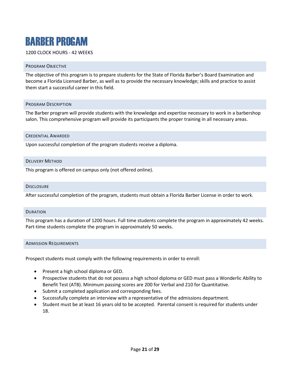### <span id="page-20-0"></span>BARBER PROGAM

#### 1200 CLOCK HOURS - 42 WEEKS

#### <span id="page-20-1"></span>PROGRAM OBJECTIVE

The objective of this program is to prepare students for the State of Florida Barber's Board Examination and become a Florida Licensed Barber, as well as to provide the necessary knowledge; skills and practice to assist them start a successful career in this field.

#### <span id="page-20-2"></span>PROGRAM DESCRIPTION

The Barber program will provide students with the knowledge and expertise necessary to work in a barbershop salon. This comprehensive program will provide its participants the proper training in all necessary areas.

#### <span id="page-20-3"></span>CREDENTIAL AWARDED

Upon successful completion of the program students receive a diploma.

#### <span id="page-20-4"></span>DELIVERY METHOD

This program is offered on campus only (not offered online).

#### <span id="page-20-5"></span>**DISCLOSURE**

After successful completion of the program, students must obtain a Florida Barber License in order to work.

#### <span id="page-20-6"></span>DURATION

This program has a duration of 1200 hours. Full time students complete the program in approximately 42 weeks. Part-time students complete the program in approximately 50 weeks.

#### <span id="page-20-7"></span>ADMISSION REQUIREMENTS

Prospect students must comply with the following requirements in order to enroll:

- Present a high school diploma or GED.
- Prospective students that do not possess a high school diploma or GED must pass a Wonderlic Ability to Benefit Test (ATB). Minimum passing scores are 200 for Verbal and 210 for Quantitative.
- Submit a completed application and corresponding fees.
- Successfully complete an interview with a representative of the admissions department.
- Student must be at least 16 years old to be accepted. Parental consent is required for students under 18.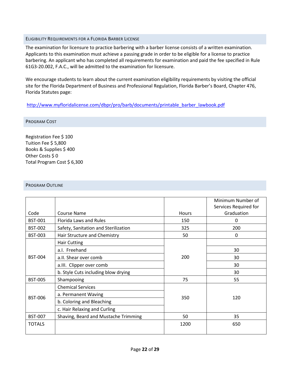#### <span id="page-21-0"></span>ELIGIBILITY REQUIREMENTS FOR A FLORIDA BARBER LICENSE

The examination for licensure to practice barbering with a barber license consists of a written examination. Applicants to this examination must achieve a passing grade in order to be eligible for a license to practice barbering. An applicant who has completed all requirements for examination and paid the fee specified in Rule 61G3-20.002, F.A.C., will be admitted to the examination for licensure.

We encourage students to learn about the current examination eligibility requirements by visiting the official site for the Florida Department of Business and Professional Regulation, Florida Barber's Board, Chapter 476, Florida Statutes page:

#### [http://www.myfloridalicense.com/dbpr/pro/barb/documents/printable\\_barber\\_lawbook.pdf](http://www.myfloridalicense.com/dbpr/pro/barb/documents/printable_barber_lawbook.pdf)

#### <span id="page-21-1"></span>PROGRAM COST

Registration Fee \$ 100 Tuition Fee \$ 5,800 Books & Supplies \$ 400 Other Costs \$0 Total Program Cost \$ 6,300

#### <span id="page-21-2"></span>PROGRAM OUTLINE

|                |                                      |       | Minimum Number of<br>Services Required for |
|----------------|--------------------------------------|-------|--------------------------------------------|
| Code           | Course Name                          | Hours | Graduation                                 |
| <b>BST-001</b> | Florida Laws and Rules               | 150   | 0                                          |
| <b>BST-002</b> | Safety, Sanitation and Sterilization | 325   | 200                                        |
| <b>BST-003</b> | Hair Structure and Chemistry         | 50    | 0                                          |
|                | <b>Hair Cutting</b>                  |       |                                            |
|                | a.l. Freehand                        | 200   | 30                                         |
| <b>BST-004</b> | a.II. Shear over comb                |       | 30                                         |
|                | a.III. Clipper over comb             |       | 30                                         |
|                | b. Style Cuts including blow drying  |       | 30                                         |
| <b>BST-005</b> | Shampooing                           | 75    | 55                                         |
|                | <b>Chemical Services</b>             | 350   | 120                                        |
| <b>BST-006</b> | a. Permanent Waving                  |       |                                            |
|                | b. Coloring and Bleaching            |       |                                            |
|                | c. Hair Relaxing and Curling         |       |                                            |
| <b>BST-007</b> | Shaving, Beard and Mustache Trimming | 50    | 35                                         |
| <b>TOTALS</b>  |                                      | 1200  | 650                                        |
|                |                                      |       |                                            |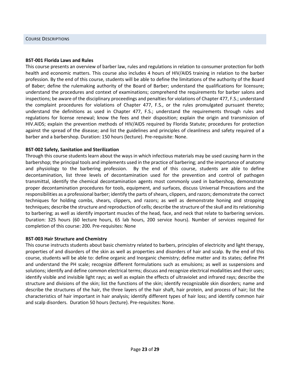#### <span id="page-22-0"></span>**BST-001 Florida Laws and Rules**

This course presents an overview of barber law, rules and regulations in relation to consumer protection for both health and economic matters. This course also includes 4 hours of HIV/AIDS training in relation to the barber profession. By the end of this course, students will be able to define the limitations of the authority of the Board of Baber; define the rulemaking authority of the Board of Barber; understand the qualifications for licensure; understand the procedures and context of examinations; comprehend the requirements for barber salons and inspections; be aware of the disciplinary proceedings and penalties for violations of Chapter 477, F.S.; understand the complaint procedures for violations of Chapter 477, F.S., or the rules promulgated pursuant thereto; understand the definitions as used in Chapter 477, F.S.; understand the requirements through rules and regulations for license renewal; know the fees and their disposition; explain the origin and transmission of HIV.AIDS; explain the prevention methods of HIV/AIDS required by Florida Statute; procedures for protection against the spread of the disease; and list the guidelines and principles of cleanliness and safety required of a barber and a barbershop. Duration: 150 hours (lecture). Pre-requisite: None.

#### **BST-002 Safety, Sanitation and Sterilization**

Through this course students learn about the ways in which infectious materials may be used causing harm in the barbershop; the principal tools and implements used in the practice of barbering; and the importance of anatomy and physiology to the barbering profession. By the end of this course, students are able to define decontamination, list three levels of decontamination used for the prevention and control of pathogen transmittal, identify the chemical decontamination agents most commonly used in barbershop, demonstrate proper decontamination procedures for tools, equipment, and surfaces, discuss Universal Precautions and the responsibilities as a professional barber; identify the parts of shears, clippers, and razors; demonstrate the correct techniques for holding combs, shears, clippers, and razors; as well as demonstrate honing and stropping techniques; describe the structure and reproduction of cells; describe the structure of the skull and its relationship to barbering; as well as identify important muscles of the head, face, and neck that relate to barbering services. Duration: 325 hours (60 lecture hours, 65 lab hours, 200 service hours). Number of services required for completion of this course: 200. Pre-requisites: None

#### **BST-003 Hair Structure and Chemistry**

This course instructs students about basic chemistry related to barbers, principles of electricity and light therapy, properties of and disorders of the skin as well as properties and disorders of hair and scalp. By the end of this course, students will be able to: define organic and Inorganic chemistry; define matter and its states; define PH and understand the PH scale; recognize different formulations such as emulsions; as well as suspensions and solutions; identify and define common electrical terms; discuss and recognize electrical modalities and their uses; identify visible and invisible light rays; as well as explain the effects of ultraviolet and infrared rays; describe the structure and divisions of the skin; list the functions of the skin; identify recognizable skin disorders; name and describe the structures of the hair, the three layers of the hair shaft, hair protein, and process of hair; list the characteristics of hair important in hair analysis; identify different types of hair loss; and identify common hair and scalp disorders. Duration 50 hours (lecture). Pre-requisites: None.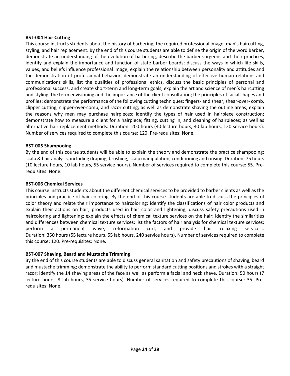#### **BST-004 Hair Cutting**

This course instructs students about the history of barbering, the required professional image, man's haircutting, styling, and hair replacement. By the end of this course students are able to define the origin of the word Barber, demonstrate an understanding of the evolution of barbering, describe the barber surgeons and their practices, identify and explain the importance and function of state barber boards; discuss the ways in which life skills, values, and beliefs influence professional image; explain the relationship between personality and attitudes and the demonstration of professional behavior, demonstrate an understanding of effective human relations and communications skills, list the qualities of professional ethics, discuss the basic principles of personal and professional success, and create short-term and long-term goals; explain the art and science of men's haircutting and styling; the term envisioning and the importance of the client consultation; the principles of facial shapes and profiles; demonstrate the performance of the following cutting techniques: fingers- and shear, shear-over- comb, clipper cutting, clipper-over-comb, and razor cutting; as well as demonstrate shaving the outline areas; explain the reasons why men may purchase hairpieces; identify the types of hair used in hairpiece construction; demonstrate how to measure a client for a hairpiece; fitting, cutting in, and cleaning of hairpieces; as well as alternative hair replacement methods. Duration: 200 hours (40 lecture hours, 40 lab hours, 120 service hours). Number of services required to complete this course: 120. Pre-requisites: None.

#### **BST-005 Shampooing**

By the end of this course students will be able to explain the theory and demonstrate the practice shampooing; scalp & hair analysis, including draping, brushing, scalp manipulation, conditioning and rinsing. Duration: 75 hours (10 lecture hours, 10 lab hours, 55 service hours). Number of services required to complete this course: 55. Prerequisites: None.

#### **BST-006 Chemical Services**

This course instructs students about the different chemical services to be provided to barber clients as well as the principles and practice of hair coloring. By the end of this course students are able to discuss the principles of color theory and relate their importance to haircoloring; identify the classifications of hair color products and explain their actions on hair; products used in hair color and lightening; discuss safety precautions used in haircoloring and lightening; explain the effects of chemical texture services on the hair; identify the similarities and differences between chemical texture services; list the factors of hair analysis for chemical texture services; perform a permanent wave; reformation curl; and provide hair relaxing services;. Duration: 350 hours (55 lecture hours, 55 lab hours, 240 service hours). Number of services required to complete this course: 120. Pre-requisites: None.

#### **BST-007 Shaving, Beard and Mustache Trimming**

By the end of this course students are able to discuss general sanitation and safety precautions of shaving, beard and mustache trimming; demonstrate the ability to perform standard cutting positions and strokes with a straight razor; identify the 14 shaving areas of the face as well as perform a facial and neck shave. Duration: 50 hours (7 lecture hours, 8 lab hours, 35 service hours). Number of services required to complete this course: 35. Prerequisites: None.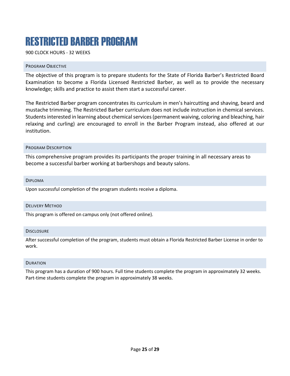### <span id="page-24-0"></span>RESTRICTED BARBER PROGRAM

900 CLOCK HOURS - 32 WEEKS

#### <span id="page-24-1"></span>PROGRAM OBJECTIVE

The objective of this program is to prepare students for the State of Florida Barber's Restricted Board Examination to become a Florida Licensed Restricted Barber, as well as to provide the necessary knowledge; skills and practice to assist them start a successful career.

The Restricted Barber program concentrates its curriculum in men's haircutting and shaving, beard and mustache trimming. The Restricted Barber curriculum does not include instruction in chemical services. Students interested in learning about chemical services (permanent waiving, coloring and bleaching, hair relaxing and curling) are encouraged to enroll in the Barber Program instead, also offered at our institution.

#### <span id="page-24-2"></span>PROGRAM DESCRIPTION

This comprehensive program provides its participants the proper training in all necessary areas to become a successful barber working at barbershops and beauty salons.

<span id="page-24-3"></span>DIPLOMA

Upon successful completion of the program students receive a diploma.

#### <span id="page-24-4"></span>DELIVERY METHOD

This program is offered on campus only (not offered online).

#### <span id="page-24-5"></span>DISCLOSURE

After successful completion of the program, students must obtain a Florida Restricted Barber License in order to work.

#### <span id="page-24-6"></span>**DURATION**

This program has a duration of 900 hours. Full time students complete the program in approximately 32 weeks. Part-time students complete the program in approximately 38 weeks.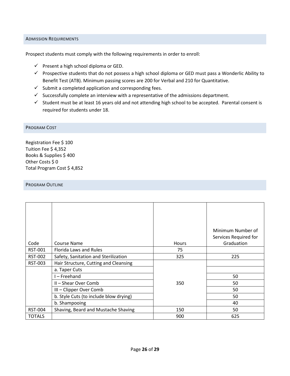#### <span id="page-25-0"></span>ADMISSION REQUIREMENTS

Prospect students must comply with the following requirements in order to enroll:

- $\checkmark$  Present a high school diploma or GED.
- $\checkmark$  Prospective students that do not possess a high school diploma or GED must pass a Wonderlic Ability to Benefit Test (ATB). Minimum passing scores are 200 for Verbal and 210 for Quantitative.
- $\checkmark$  Submit a completed application and corresponding fees.
- $\checkmark$  Successfully complete an interview with a representative of the admissions department.
- $\checkmark$  Student must be at least 16 years old and not attending high school to be accepted. Parental consent is required for students under 18.

#### <span id="page-25-1"></span>PROGRAM COST

Registration Fee \$ 100 Tuition Fee \$ 4,352 Books & Supplies \$ 400 Other Costs \$0 Total Program Cost \$ 4,852

#### <span id="page-25-2"></span>PROGRAM OUTLINE

| Code           | Course Name                            | <b>Hours</b> | Minimum Number of<br>Services Required for<br>Graduation |
|----------------|----------------------------------------|--------------|----------------------------------------------------------|
| <b>RST-001</b> | Florida Laws and Rules                 | 75           |                                                          |
|                |                                        |              |                                                          |
| <b>RST-002</b> | Safety, Sanitation and Sterilization   | 325          | 225                                                      |
| <b>RST-003</b> | Hair Structure, Cutting and Cleansing  |              |                                                          |
|                | a. Taper Cuts                          |              |                                                          |
|                | - Freehand                             |              | 50                                                       |
|                | II - Shear Over Comb                   | 350          | 50                                                       |
|                | III - Clipper Over Comb                |              | 50                                                       |
|                | b. Style Cuts (to include blow drying) |              | 50                                                       |
|                | b. Shampooing                          |              | 40                                                       |
| <b>RST-004</b> | Shaving, Beard and Mustache Shaving    | 150          | 50                                                       |
| <b>TOTALS</b>  |                                        | 900          | 625                                                      |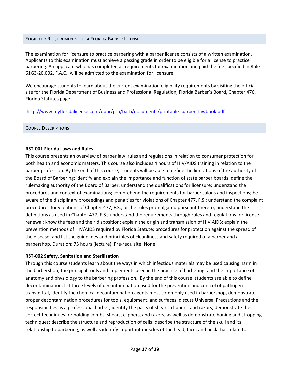#### <span id="page-26-0"></span>ELIGIBILITY REQUIREMENTS FOR A FLORIDA BARBER LICENSE

The examination for licensure to practice barbering with a barber license consists of a written examination. Applicants to this examination must achieve a passing grade in order to be eligible for a license to practice barbering. An applicant who has completed all requirements for examination and paid the fee specified in Rule 61G3-20.002, F.A.C., will be admitted to the examination for licensure.

We encourage students to learn about the current examination eligibility requirements by visiting the official site for the Florida Department of Business and Professional Regulation, Florida Barber's Board, Chapter 476, Florida Statutes page:

[http://www.myfloridalicense.com/dbpr/pro/barb/documents/printable\\_barber\\_lawbook.pdf](http://www.myfloridalicense.com/dbpr/pro/barb/documents/printable_barber_lawbook.pdf)

#### <span id="page-26-1"></span>COURSE DESCRIPTIONS

#### **RST-001 Florida Laws and Rules**

This course presents an overview of barber law, rules and regulations in relation to consumer protection for both health and economic matters. This course also includes 4 hours of HIV/AIDS training in relation to the barber profession. By the end of this course, students will be able to define the limitations of the authority of the Board of Barbering; identify and explain the importance and function of state barber boards; define the rulemaking authority of the Board of Barber; understand the qualifications for licensure; understand the procedures and context of examinations; comprehend the requirements for barber salons and inspections; be aware of the disciplinary proceedings and penalties for violations of Chapter 477, F.S.; understand the complaint procedures for violations of Chapter 477, F.S., or the rules promulgated pursuant thereto; understand the definitions as used in Chapter 477, F.S.; understand the requirements through rules and regulations for license renewal; know the fees and their disposition; explain the origin and transmission of HIV.AIDS; explain the prevention methods of HIV/AIDS required by Florida Statute; procedures for protection against the spread of the disease; and list the guidelines and principles of cleanliness and safety required of a barber and a barbershop. Duration: 75 hours (lecture). Pre-requisite: None.

#### **RST-002 Safety, Sanitation and Sterilization**

Through this course students learn about the ways in which infectious materials may be used causing harm in the barbershop; the principal tools and implements used in the practice of barbering; and the importance of anatomy and physiology to the barbering profession. By the end of this course, students are able to define decontamination, list three levels of decontamination used for the prevention and control of pathogen transmittal, identify the chemical decontamination agents most commonly used in barbershop, demonstrate proper decontamination procedures for tools, equipment, and surfaces, discuss Universal Precautions and the responsibilities as a professional barber; identify the parts of shears, clippers, and razors; demonstrate the correct techniques for holding combs, shears, clippers, and razors; as well as demonstrate honing and stropping techniques; describe the structure and reproduction of cells; describe the structure of the skull and its relationship to barbering; as well as identify important muscles of the head, face, and neck that relate to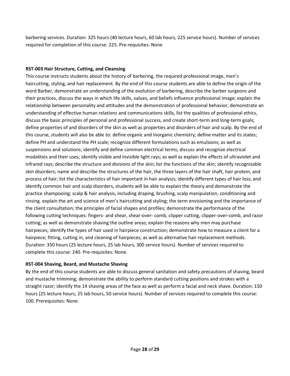barbering services. Duration: 325 hours (40 lecture hours, 60 lab hours, 225 service hours). Number of services required for completion of this course: 225. Pre-requisites: None

#### **RST-003 Hair Structure, Cutting, and Cleansing**

This course instructs students about the history of barbering, the required professional image, men's haircutting, styling, and hair replacement. By the end of this course students are able to define the origin of the word Barber, demonstrate an understanding of the evolution of barbering, describe the barber surgeons and their practices, discuss the ways in which life skills, values, and beliefs influence professional image; explain the relationship between personality and attitudes and the demonstration of professional behavior, demonstrate an understanding of effective human relations and communications skills, list the qualities of professional ethics, discuss the basic principles of personal and professional success, and create short-term and long-term goals; define properties of and disorders of the skin as well as properties and disorders of hair and scalp. By the end of this course, students will also be able to: define organic and Inorganic chemistry; define matter and its states; define PH and understand the PH scale; recognize different formulations such as emulsions; as well as suspensions and solutions; identify and define common electrical terms; discuss and recognize electrical modalities and their uses; identify visible and invisible light rays; as well as explain the effects of ultraviolet and infrared rays; describe the structure and divisions of the skin; list the functions of the skin; identify recognizable skin disorders; name and describe the structures of the hair, the three layers of the hair shaft, hair protein, and process of hair; list the characteristics of hair important in hair analysis; identify different types of hair loss; and identify common hair and scalp disorders, students will be able to explain the theory and demonstrate the practice shampooing; scalp & hair analysis, including draping, brushing, scalp manipulation, conditioning and rinsing. explain the art and science of men's haircutting and styling; the term envisioning and the importance of the client consultation; the principles of facial shapes and profiles; demonstrate the performance of the following cutting techniques: fingers- and shear, shear-over- comb, clipper cutting, clipper-over-comb, and razor cutting; as well as demonstrate shaving the outline areas; explain the reasons why men may purchase hairpieces; identify the types of hair used in hairpiece construction; demonstrate how to measure a client for a hairpiece; fitting, cutting in, and cleaning of hairpieces; as well as alternative hair replacement methods. Duration: 350 hours (25 lecture hours, 25 lab hours, 300 service hours). Number of services required to complete this course: 240. Pre-requisites: None.

#### **RST-004 Shaving, Beard, and Mustache Shaving**

By the end of this course students are able to discuss general sanitation and safety precautions of shaving, beard and mustache trimming; demonstrate the ability to perform standard cutting positions and strokes with a straight razor; identify the 14 shaving areas of the face as well as perform a facial and neck shave. Duration: 150 hours (25 lecture hours, 25 lab hours, 50 service hours). Number of services required to complete this course: 100. Prerequisites: None.